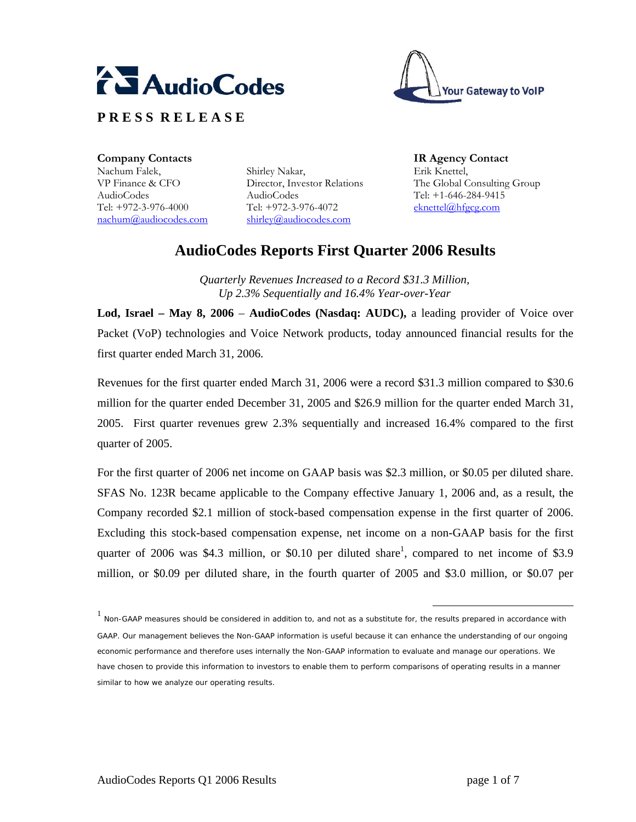





**Company Contacts IR Agency Contact**  Nachum Falek, VP Finance & CFO AudioCodes Tel: +972-3-976-4000 nachum@audiocodes.com

Shirley Nakar, Director, Investor Relations AudioCodes Tel: +972-3-976-4072 shirley@audiocodes.com

Erik Knettel, The Global Consulting Group Tel: +1-646-284-9415 eknettel@hfgcg.com

# **AudioCodes Reports First Quarter 2006 Results**

*Quarterly Revenues Increased to a Record \$31.3 Million, Up 2.3% Sequentially and 16.4% Year-over-Year* 

**Lod, Israel – May 8, 2006** – **AudioCodes (Nasdaq: AUDC),** a leading provider of Voice over Packet (VoP) technologies and Voice Network products, today announced financial results for the first quarter ended March 31, 2006.

Revenues for the first quarter ended March 31, 2006 were a record \$31.3 million compared to \$30.6 million for the quarter ended December 31, 2005 and \$26.9 million for the quarter ended March 31, 2005. First quarter revenues grew 2.3% sequentially and increased 16.4% compared to the first quarter of 2005.

For the first quarter of 2006 net income on GAAP basis was \$2.3 million, or \$0.05 per diluted share. SFAS No. 123R became applicable to the Company effective January 1, 2006 and, as a result, the Company recorded \$2.1 million of stock-based compensation expense in the first quarter of 2006. Excluding this stock-based compensation expense, net income on a non-GAAP basis for the first quarter of 2006 was \$4.3 million, or \$0.10 per diluted share<sup>1</sup>, compared to net income of \$3.9 million, or \$0.09 per diluted share, in the fourth quarter of 2005 and \$3.0 million, or \$0.07 per

 <sup>1</sup> Non-GAAP measures should be considered in addition to, and not as a substitute for, the results prepared in accordance with GAAP. Our management believes the Non-GAAP information is useful because it can enhance the understanding of our ongoing economic performance and therefore uses internally the Non-GAAP information to evaluate and manage our operations. We have chosen to provide this information to investors to enable them to perform comparisons of operating results in a manner similar to how we analyze our operating results.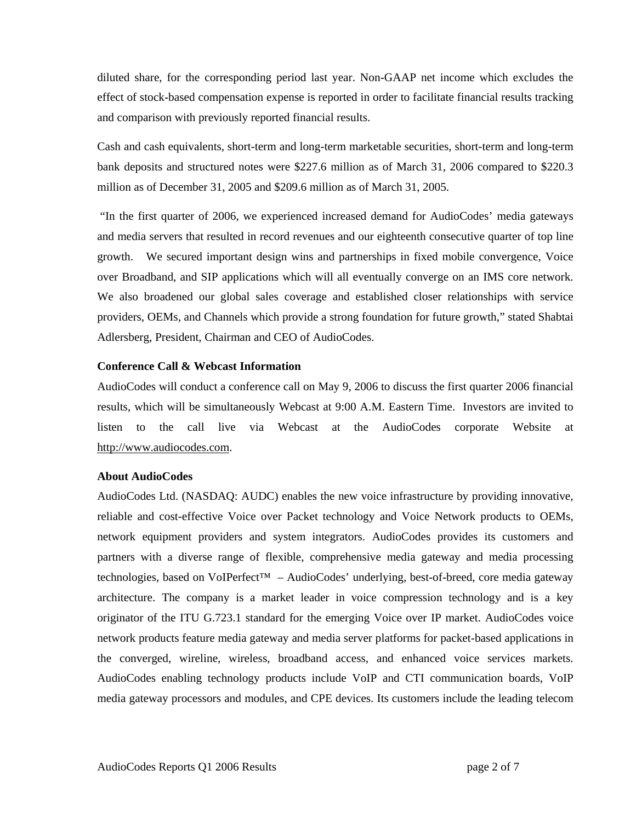diluted share, for the corresponding period last year. Non-GAAP net income which excludes the effect of stock-based compensation expense is reported in order to facilitate financial results tracking and comparison with previously reported financial results.

Cash and cash equivalents, short-term and long-term marketable securities, short-term and long-term bank deposits and structured notes were \$227.6 million as of March 31, 2006 compared to \$220.3 million as of December 31, 2005 and \$209.6 million as of March 31, 2005.

 "In the first quarter of 2006, we experienced increased demand for AudioCodes' media gateways and media servers that resulted in record revenues and our eighteenth consecutive quarter of top line growth. We secured important design wins and partnerships in fixed mobile convergence, Voice over Broadband, and SIP applications which will all eventually converge on an IMS core network. We also broadened our global sales coverage and established closer relationships with service providers, OEMs, and Channels which provide a strong foundation for future growth," stated Shabtai Adlersberg, President, Chairman and CEO of AudioCodes.

#### **Conference Call & Webcast Information**

AudioCodes will conduct a conference call on May 9, 2006 to discuss the first quarter 2006 financial results, which will be simultaneously Webcast at 9:00 A.M. Eastern Time. Investors are invited to listen to the call live via Webcast at the AudioCodes corporate Website at http://www.audiocodes.com.

#### **About AudioCodes**

AudioCodes Ltd. (NASDAQ: AUDC) enables the new voice infrastructure by providing innovative, reliable and cost-effective Voice over Packet technology and Voice Network products to OEMs, network equipment providers and system integrators. AudioCodes provides its customers and partners with a diverse range of flexible, comprehensive media gateway and media processing technologies, based on VoIPerfect™ – AudioCodes' underlying, best-of-breed, core media gateway architecture. The company is a market leader in voice compression technology and is a key originator of the ITU G.723.1 standard for the emerging Voice over IP market. AudioCodes voice network products feature media gateway and media server platforms for packet-based applications in the converged, wireline, wireless, broadband access, and enhanced voice services markets. AudioCodes enabling technology products include VoIP and CTI communication boards, VoIP media gateway processors and modules, and CPE devices. Its customers include the leading telecom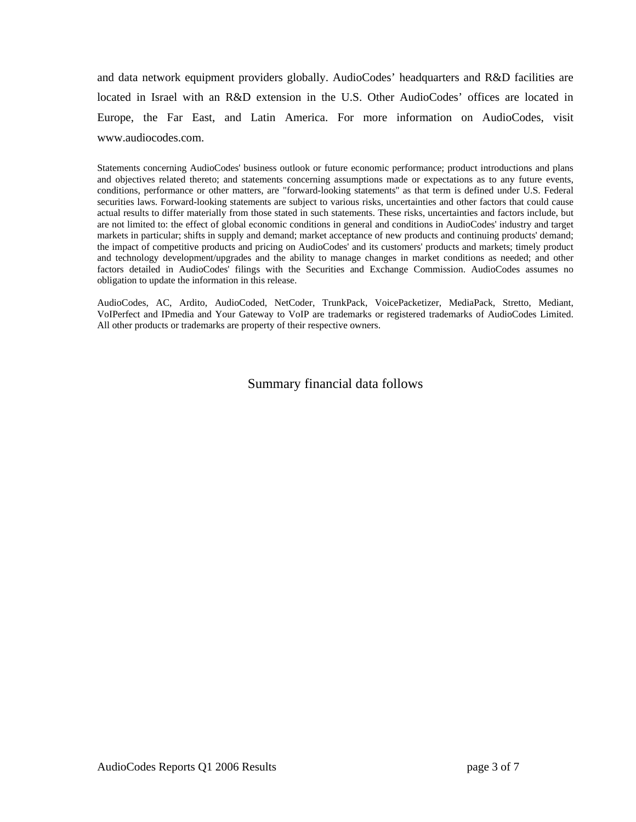and data network equipment providers globally. AudioCodes' headquarters and R&D facilities are located in Israel with an R&D extension in the U.S. Other AudioCodes' offices are located in Europe, the Far East, and Latin America. For more information on AudioCodes, visit www.audiocodes.com.

Statements concerning AudioCodes' business outlook or future economic performance; product introductions and plans and objectives related thereto; and statements concerning assumptions made or expectations as to any future events, conditions, performance or other matters, are "forward-looking statements'' as that term is defined under U.S. Federal securities laws. Forward-looking statements are subject to various risks, uncertainties and other factors that could cause actual results to differ materially from those stated in such statements. These risks, uncertainties and factors include, but are not limited to: the effect of global economic conditions in general and conditions in AudioCodes' industry and target markets in particular; shifts in supply and demand; market acceptance of new products and continuing products' demand; the impact of competitive products and pricing on AudioCodes' and its customers' products and markets; timely product and technology development/upgrades and the ability to manage changes in market conditions as needed; and other factors detailed in AudioCodes' filings with the Securities and Exchange Commission. AudioCodes assumes no obligation to update the information in this release.

AudioCodes, AC, Ardito, AudioCoded, NetCoder, TrunkPack, VoicePacketizer, MediaPack, Stretto, Mediant, VoIPerfect and IPmedia and Your Gateway to VoIP are trademarks or registered trademarks of AudioCodes Limited. All other products or trademarks are property of their respective owners.

Summary financial data follows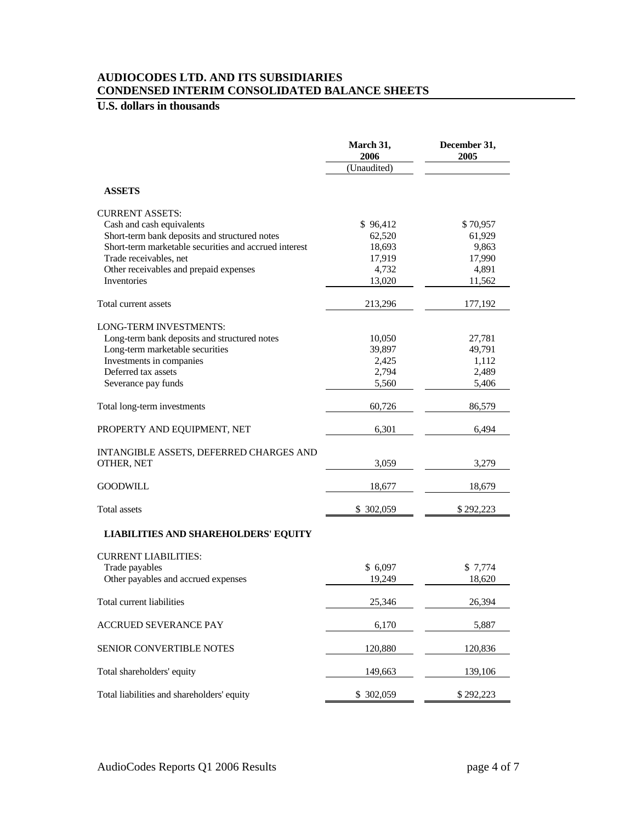### **AUDIOCODES LTD. AND ITS SUBSIDIARIES CONDENSED INTERIM CONSOLIDATED BALANCE SHEETS**

## **U.S. dollars in thousands**

|                                                       | March 31,<br>2006 | December 31,<br>2005 |
|-------------------------------------------------------|-------------------|----------------------|
|                                                       | (Unaudited)       |                      |
| <b>ASSETS</b>                                         |                   |                      |
| <b>CURRENT ASSETS:</b>                                |                   |                      |
| Cash and cash equivalents                             | \$96,412          | \$70,957             |
| Short-term bank deposits and structured notes         | 62,520            | 61,929               |
| Short-term marketable securities and accrued interest | 18,693            | 9,863                |
| Trade receivables, net                                | 17,919            | 17,990               |
| Other receivables and prepaid expenses                | 4,732             | 4,891                |
| Inventories                                           | 13,020            | 11,562               |
| Total current assets                                  | 213,296           | 177,192              |
| <b>LONG-TERM INVESTMENTS:</b>                         |                   |                      |
| Long-term bank deposits and structured notes          | 10,050            | 27,781               |
| Long-term marketable securities                       | 39,897            | 49,791               |
| Investments in companies                              | 2,425             | 1,112                |
| Deferred tax assets                                   | 2,794             | 2,489                |
| Severance pay funds                                   | 5,560             | 5,406                |
| Total long-term investments                           | 60,726            | 86,579               |
| PROPERTY AND EQUIPMENT, NET                           | 6,301             | 6.494                |
| INTANGIBLE ASSETS, DEFERRED CHARGES AND<br>OTHER, NET | 3,059             | 3,279                |
| <b>GOODWILL</b>                                       | 18,677            | 18,679               |
| <b>Total assets</b>                                   | \$ 302,059        | \$292,223            |
| <b>LIABILITIES AND SHAREHOLDERS' EQUITY</b>           |                   |                      |
| <b>CURRENT LIABILITIES:</b>                           |                   |                      |
| Trade payables                                        | \$6,097           | \$7,774              |
| Other payables and accrued expenses                   | 19,249            | 18,620               |
| Total current liabilities                             | 25,346            | 26,394               |
| <b>ACCRUED SEVERANCE PAY</b>                          | 6,170             | 5,887                |
| SENIOR CONVERTIBLE NOTES                              | 120,880           | 120,836              |
| Total shareholders' equity                            | 149,663           | 139,106              |
| Total liabilities and shareholders' equity            | \$ 302,059        | \$292,223            |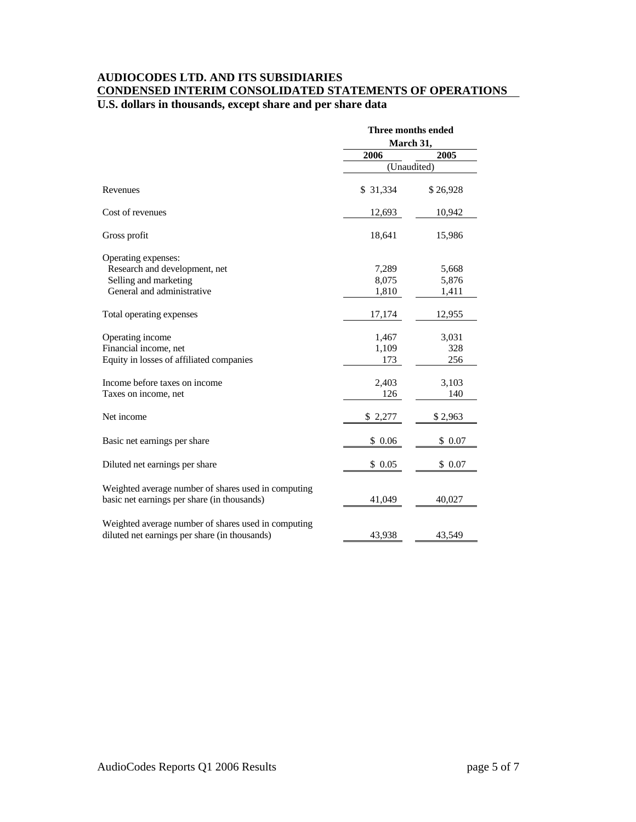### **AUDIOCODES LTD. AND ITS SUBSIDIARIES CONDENSED INTERIM CONSOLIDATED STATEMENTS OF OPERATIONS U.S. dollars in thousands, except share and per share data**

|                                                                                                             | Three months ended<br>March 31, |                         |
|-------------------------------------------------------------------------------------------------------------|---------------------------------|-------------------------|
|                                                                                                             | 2006                            | 2005                    |
|                                                                                                             | (Unaudited)                     |                         |
| Revenues                                                                                                    | \$31,334                        | \$26,928                |
| Cost of revenues                                                                                            | 12,693                          | 10,942                  |
| Gross profit                                                                                                | 18,641                          | 15,986                  |
| Operating expenses:<br>Research and development, net<br>Selling and marketing<br>General and administrative | 7,289<br>8,075<br>1,810         | 5,668<br>5,876<br>1,411 |
| Total operating expenses                                                                                    | 17,174                          | 12,955                  |
| Operating income<br>Financial income, net<br>Equity in losses of affiliated companies                       | 1,467<br>1,109<br>173           | 3,031<br>328<br>256     |
| Income before taxes on income<br>Taxes on income, net                                                       | 2,403<br>126                    | 3,103<br>140            |
| Net income                                                                                                  | \$2,277                         | \$2,963                 |
| Basic net earnings per share                                                                                | \$0.06                          | \$0.07                  |
| Diluted net earnings per share                                                                              | \$0.05                          | \$0.07                  |
| Weighted average number of shares used in computing<br>basic net earnings per share (in thousands)          | 41,049                          | 40,027                  |
| Weighted average number of shares used in computing<br>diluted net earnings per share (in thousands)        | 43,938                          | 43,549                  |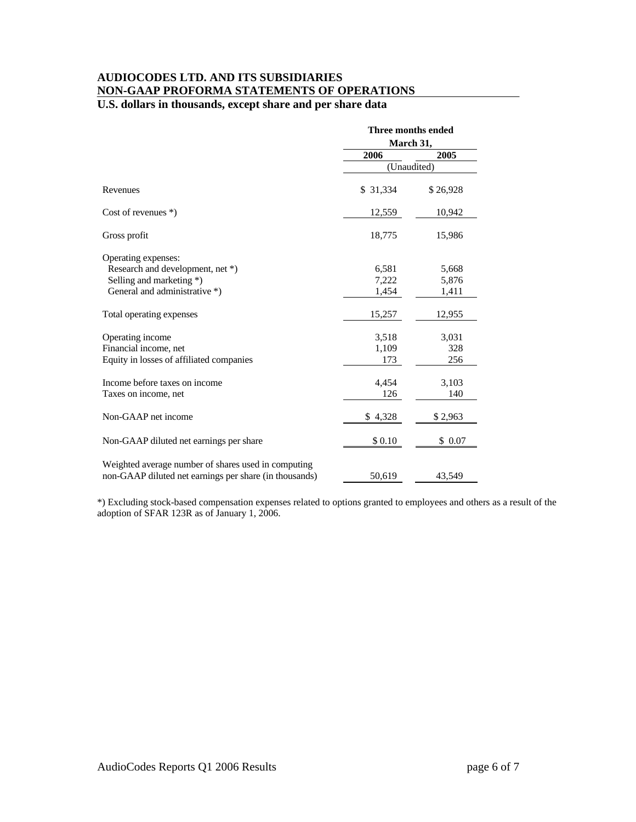### **AUDIOCODES LTD. AND ITS SUBSIDIARIES NON-GAAP PROFORMA STATEMENTS OF OPERATIONS**

### **U.S. dollars in thousands, except share and per share data**

|                                                        | Three months ended<br>March 31, |          |
|--------------------------------------------------------|---------------------------------|----------|
|                                                        |                                 |          |
|                                                        | 2006                            | 2005     |
|                                                        | (Unaudited)                     |          |
| Revenues                                               | \$31,334                        | \$26,928 |
| Cost of revenues $*)$                                  | 12,559                          | 10,942   |
| Gross profit                                           | 18,775                          | 15,986   |
| Operating expenses:                                    |                                 |          |
| Research and development, net *)                       | 6,581                           | 5,668    |
| Selling and marketing *)                               | 7,222                           | 5,876    |
| General and administrative *)                          | 1,454                           | 1,411    |
| Total operating expenses                               | 15,257                          | 12,955   |
| Operating income                                       | 3,518                           | 3,031    |
| Financial income, net                                  | 1,109                           | 328      |
| Equity in losses of affiliated companies               | 173                             | 256      |
| Income before taxes on income                          | 4,454                           | 3,103    |
| Taxes on income, net                                   | 126                             | 140      |
| Non-GAAP net income                                    | \$4,328                         | \$2,963  |
| Non-GAAP diluted net earnings per share                | \$0.10                          | \$0.07   |
| Weighted average number of shares used in computing    |                                 |          |
| non-GAAP diluted net earnings per share (in thousands) | 50,619                          | 43,549   |

\*) Excluding stock-based compensation expenses related to options granted to employees and others as a result of the adoption of SFAR 123R as of January 1, 2006.